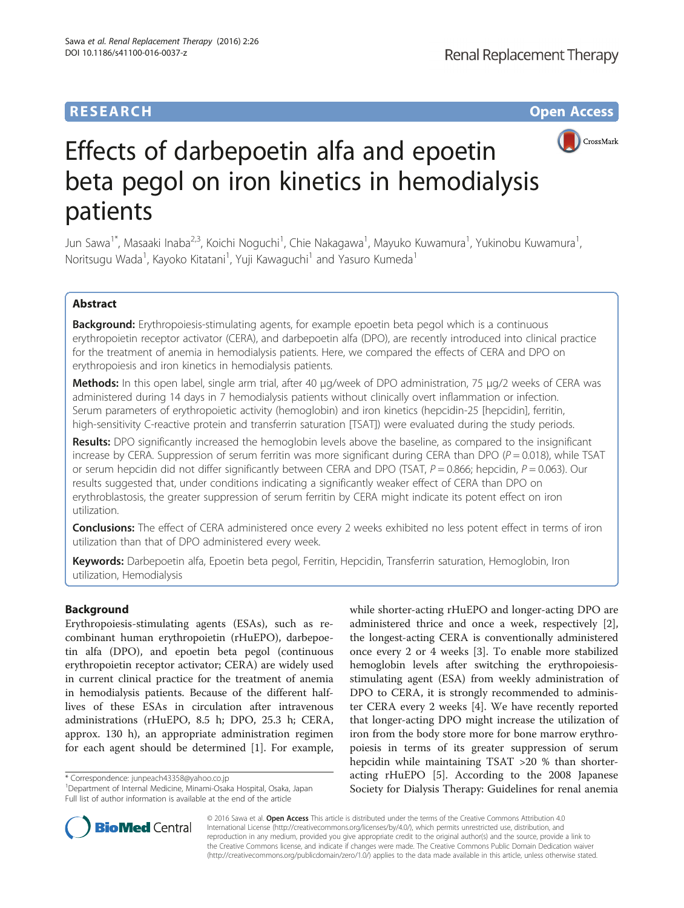## **RESEARCH CHE Open Access**



# Effects of darbepoetin alfa and epoetin beta pegol on iron kinetics in hemodialysis patients

Jun Sawa<sup>1\*</sup>, Masaaki Inaba<sup>2,3</sup>, Koichi Noguchi<sup>1</sup>, Chie Nakagawa<sup>1</sup>, Mayuko Kuwamura<sup>1</sup>, Yukinobu Kuwamura<sup>1</sup> , Noritsugu Wada<sup>1</sup>, Kayoko Kitatani<sup>1</sup>, Yuji Kawaguchi<sup>1</sup> and Yasuro Kumeda<sup>1</sup>

## Abstract

Background: Erythropoiesis-stimulating agents, for example epoetin beta pegol which is a continuous erythropoietin receptor activator (CERA), and darbepoetin alfa (DPO), are recently introduced into clinical practice for the treatment of anemia in hemodialysis patients. Here, we compared the effects of CERA and DPO on erythropoiesis and iron kinetics in hemodialysis patients.

Methods: In this open label, single arm trial, after 40 μg/week of DPO administration, 75 μg/2 weeks of CERA was administered during 14 days in 7 hemodialysis patients without clinically overt inflammation or infection. Serum parameters of erythropoietic activity (hemoglobin) and iron kinetics (hepcidin-25 [hepcidin], ferritin, high-sensitivity C-reactive protein and transferrin saturation [TSAT]) were evaluated during the study periods.

Results: DPO significantly increased the hemoglobin levels above the baseline, as compared to the insignificant increase by CERA. Suppression of serum ferritin was more significant during CERA than DPO ( $P = 0.018$ ), while TSAT or serum hepcidin did not differ significantly between CERA and DPO (TSAT,  $P = 0.866$ ; hepcidin,  $P = 0.063$ ). Our results suggested that, under conditions indicating a significantly weaker effect of CERA than DPO on erythroblastosis, the greater suppression of serum ferritin by CERA might indicate its potent effect on iron utilization.

**Conclusions:** The effect of CERA administered once every 2 weeks exhibited no less potent effect in terms of iron utilization than that of DPO administered every week.

Keywords: Darbepoetin alfa, Epoetin beta pegol, Ferritin, Hepcidin, Transferrin saturation, Hemoglobin, Iron utilization, Hemodialysis

## Background

Erythropoiesis-stimulating agents (ESAs), such as recombinant human erythropoietin (rHuEPO), darbepoetin alfa (DPO), and epoetin beta pegol (continuous erythropoietin receptor activator; CERA) are widely used in current clinical practice for the treatment of anemia in hemodialysis patients. Because of the different halflives of these ESAs in circulation after intravenous administrations (rHuEPO, 8.5 h; DPO, 25.3 h; CERA, approx. 130 h), an appropriate administration regimen for each agent should be determined [[1\]](#page-5-0). For example,

\* Correspondence: [junpeach43358@yahoo.co.jp](mailto:junpeach43358@yahoo.co.jp) <sup>1</sup>

Department of Internal Medicine, Minami-Osaka Hospital, Osaka, Japan Full list of author information is available at the end of the article

while shorter-acting rHuEPO and longer-acting DPO are administered thrice and once a week, respectively [\[2](#page-5-0)], the longest-acting CERA is conventionally administered once every 2 or 4 weeks [\[3](#page-5-0)]. To enable more stabilized hemoglobin levels after switching the erythropoiesisstimulating agent (ESA) from weekly administration of DPO to CERA, it is strongly recommended to administer CERA every 2 weeks [[4\]](#page-5-0). We have recently reported that longer-acting DPO might increase the utilization of iron from the body store more for bone marrow erythropoiesis in terms of its greater suppression of serum hepcidin while maintaining TSAT >20 % than shorteracting rHuEPO [[5\]](#page-5-0). According to the 2008 Japanese Society for Dialysis Therapy: Guidelines for renal anemia



© 2016 Sawa et al. Open Access This article is distributed under the terms of the Creative Commons Attribution 4.0 International License [\(http://creativecommons.org/licenses/by/4.0/](http://creativecommons.org/licenses/by/4.0/)), which permits unrestricted use, distribution, and reproduction in any medium, provided you give appropriate credit to the original author(s) and the source, provide a link to the Creative Commons license, and indicate if changes were made. The Creative Commons Public Domain Dedication waiver [\(http://creativecommons.org/publicdomain/zero/1.0/](http://creativecommons.org/publicdomain/zero/1.0/)) applies to the data made available in this article, unless otherwise stated.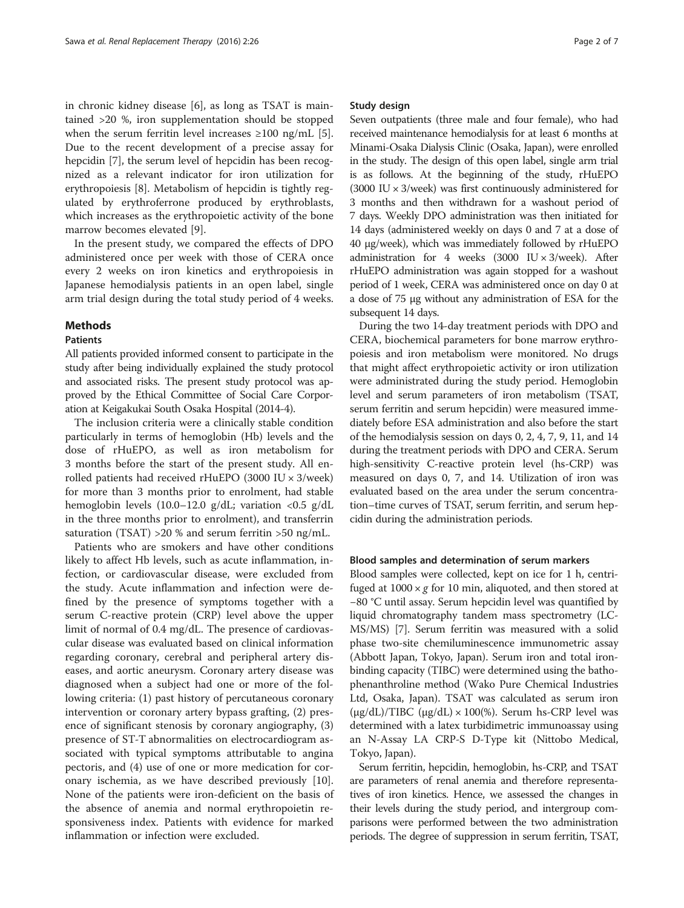in chronic kidney disease [\[6](#page-5-0)], as long as TSAT is maintained >20 %, iron supplementation should be stopped when the serum ferritin level increases  $\geq 100$  ng/mL [\[5](#page-5-0)]. Due to the recent development of a precise assay for hepcidin [[7\]](#page-5-0), the serum level of hepcidin has been recognized as a relevant indicator for iron utilization for erythropoiesis [\[8](#page-5-0)]. Metabolism of hepcidin is tightly regulated by erythroferrone produced by erythroblasts, which increases as the erythropoietic activity of the bone marrow becomes elevated [\[9](#page-5-0)].

In the present study, we compared the effects of DPO administered once per week with those of CERA once every 2 weeks on iron kinetics and erythropoiesis in Japanese hemodialysis patients in an open label, single arm trial design during the total study period of 4 weeks.

## Methods

#### Patients

All patients provided informed consent to participate in the study after being individually explained the study protocol and associated risks. The present study protocol was approved by the Ethical Committee of Social Care Corporation at Keigakukai South Osaka Hospital (2014-4).

The inclusion criteria were a clinically stable condition particularly in terms of hemoglobin (Hb) levels and the dose of rHuEPO, as well as iron metabolism for 3 months before the start of the present study. All enrolled patients had received rHuEPO (3000 IU × 3/week) for more than 3 months prior to enrolment, had stable hemoglobin levels (10.0–12.0 g/dL; variation <0.5 g/dL in the three months prior to enrolment), and transferrin saturation (TSAT) >20 % and serum ferritin >50 ng/mL.

Patients who are smokers and have other conditions likely to affect Hb levels, such as acute inflammation, infection, or cardiovascular disease, were excluded from the study. Acute inflammation and infection were defined by the presence of symptoms together with a serum C-reactive protein (CRP) level above the upper limit of normal of 0.4 mg/dL. The presence of cardiovascular disease was evaluated based on clinical information regarding coronary, cerebral and peripheral artery diseases, and aortic aneurysm. Coronary artery disease was diagnosed when a subject had one or more of the following criteria: (1) past history of percutaneous coronary intervention or coronary artery bypass grafting, (2) presence of significant stenosis by coronary angiography, (3) presence of ST-T abnormalities on electrocardiogram associated with typical symptoms attributable to angina pectoris, and (4) use of one or more medication for coronary ischemia, as we have described previously [\[10](#page-5-0)]. None of the patients were iron-deficient on the basis of the absence of anemia and normal erythropoietin responsiveness index. Patients with evidence for marked inflammation or infection were excluded.

#### Study design

Seven outpatients (three male and four female), who had received maintenance hemodialysis for at least 6 months at Minami-Osaka Dialysis Clinic (Osaka, Japan), were enrolled in the study. The design of this open label, single arm trial is as follows. At the beginning of the study, rHuEPO (3000 IU  $\times$  3/week) was first continuously administered for 3 months and then withdrawn for a washout period of 7 days. Weekly DPO administration was then initiated for 14 days (administered weekly on days 0 and 7 at a dose of 40 μg/week), which was immediately followed by rHuEPO administration for 4 weeks (3000 IU  $\times$  3/week). After rHuEPO administration was again stopped for a washout period of 1 week, CERA was administered once on day 0 at a dose of 75 μg without any administration of ESA for the subsequent 14 days.

During the two 14-day treatment periods with DPO and CERA, biochemical parameters for bone marrow erythropoiesis and iron metabolism were monitored. No drugs that might affect erythropoietic activity or iron utilization were administrated during the study period. Hemoglobin level and serum parameters of iron metabolism (TSAT, serum ferritin and serum hepcidin) were measured immediately before ESA administration and also before the start of the hemodialysis session on days 0, 2, 4, 7, 9, 11, and 14 during the treatment periods with DPO and CERA. Serum high-sensitivity C-reactive protein level (hs-CRP) was measured on days 0, 7, and 14. Utilization of iron was evaluated based on the area under the serum concentration–time curves of TSAT, serum ferritin, and serum hepcidin during the administration periods.

#### Blood samples and determination of serum markers

Blood samples were collected, kept on ice for 1 h, centrifuged at  $1000 \times g$  for 10 min, aliquoted, and then stored at −80 °C until assay. Serum hepcidin level was quantified by liquid chromatography tandem mass spectrometry (LC-MS/MS) [\[7\]](#page-5-0). Serum ferritin was measured with a solid phase two-site chemiluminescence immunometric assay (Abbott Japan, Tokyo, Japan). Serum iron and total ironbinding capacity (TIBC) were determined using the bathophenanthroline method (Wako Pure Chemical Industries Ltd, Osaka, Japan). TSAT was calculated as serum iron (μg/dL)/TIBC (μg/dL)  $\times$  100(%). Serum hs-CRP level was determined with a latex turbidimetric immunoassay using an N-Assay LA CRP-S D-Type kit (Nittobo Medical, Tokyo, Japan).

Serum ferritin, hepcidin, hemoglobin, hs-CRP, and TSAT are parameters of renal anemia and therefore representatives of iron kinetics. Hence, we assessed the changes in their levels during the study period, and intergroup comparisons were performed between the two administration periods. The degree of suppression in serum ferritin, TSAT,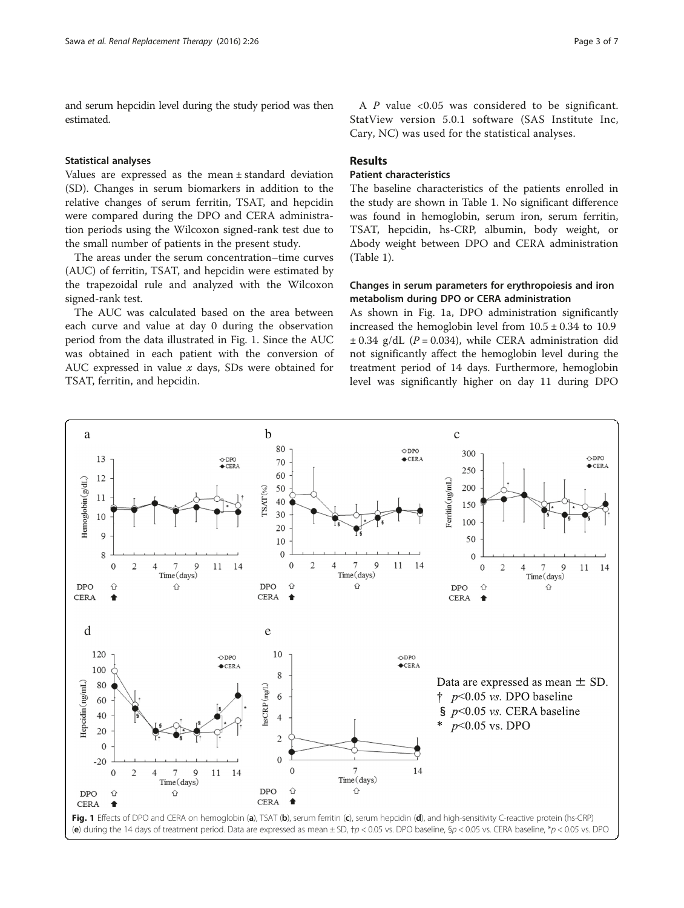<span id="page-2-0"></span>and serum hepcidin level during the study period was then estimated.

#### Statistical analyses

Values are expressed as the mean ± standard deviation (SD). Changes in serum biomarkers in addition to the relative changes of serum ferritin, TSAT, and hepcidin were compared during the DPO and CERA administration periods using the Wilcoxon signed-rank test due to the small number of patients in the present study.

The areas under the serum concentration–time curves (AUC) of ferritin, TSAT, and hepcidin were estimated by the trapezoidal rule and analyzed with the Wilcoxon signed-rank test.

The AUC was calculated based on the area between each curve and value at day 0 during the observation period from the data illustrated in Fig. 1. Since the AUC was obtained in each patient with the conversion of AUC expressed in value  $x$  days, SDs were obtained for TSAT, ferritin, and hepcidin.

#### Results

## Patient characteristics

The baseline characteristics of the patients enrolled in the study are shown in Table [1](#page-3-0). No significant difference was found in hemoglobin, serum iron, serum ferritin, TSAT, hepcidin, hs-CRP, albumin, body weight, or Δbody weight between DPO and CERA administration (Table [1\)](#page-3-0).

Cary, NC) was used for the statistical analyses.

## Changes in serum parameters for erythropoiesis and iron metabolism during DPO or CERA administration

As shown in Fig. 1a, DPO administration significantly increased the hemoglobin level from  $10.5 \pm 0.34$  to 10.9  $\pm$  0.34 g/dL (P = 0.034), while CERA administration did not significantly affect the hemoglobin level during the treatment period of 14 days. Furthermore, hemoglobin level was significantly higher on day 11 during DPO

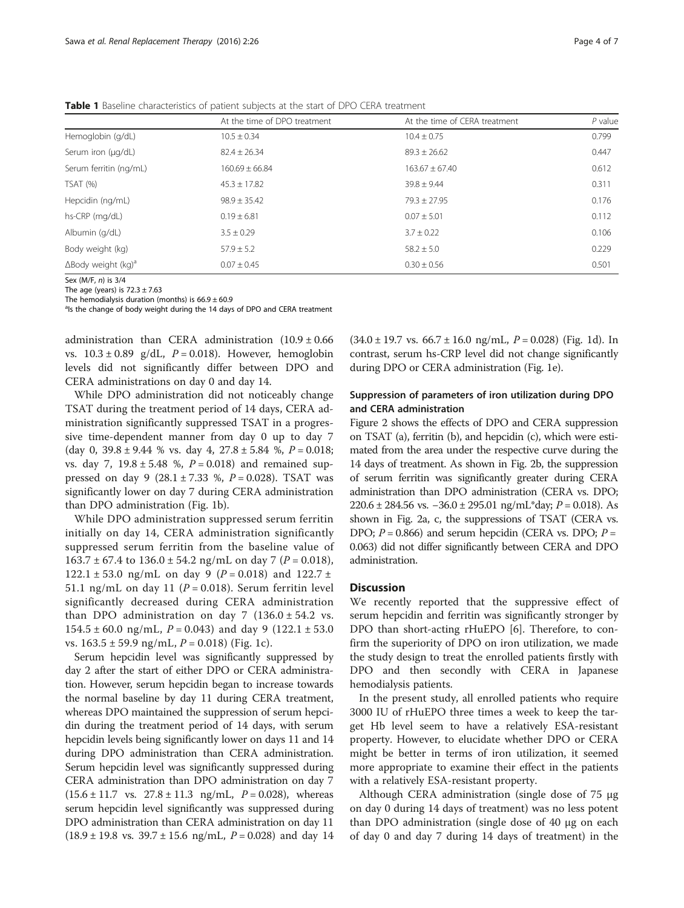|                                        | At the time of DPO treatment | At the time of CERA treatment | $P$ value |
|----------------------------------------|------------------------------|-------------------------------|-----------|
| Hemoglobin (g/dL)                      | $10.5 \pm 0.34$              | $10.4 \pm 0.75$               | 0.799     |
| Serum iron (µg/dL)                     | $82.4 \pm 26.34$             | $89.3 + 26.62$                | 0.447     |
| Serum ferritin (ng/mL)                 | $160.69 \pm 66.84$           | $163.67 \pm 67.40$            | 0.612     |
| TSAT (%)                               | $45.3 \pm 17.82$             | $39.8 \pm 9.44$               | 0.311     |
| Hepcidin (ng/mL)                       | $98.9 \pm 35.42$             | $79.3 + 27.95$                | 0.176     |
| hs-CRP (mg/dL)                         | $0.19 \pm 6.81$              | $0.07 \pm 5.01$               | 0.112     |
| Albumin (g/dL)                         | $3.5 + 0.29$                 | $3.7 \pm 0.22$                | 0.106     |
| Body weight (kg)                       | $57.9 \pm 5.2$               | $58.2 \pm 5.0$                | 0.229     |
| $\Delta$ Body weight (kg) <sup>a</sup> | $0.07 \pm 0.45$              | $0.30 \pm 0.56$               | 0.501     |

<span id="page-3-0"></span>Table 1 Baseline characteristics of patient subjects at the start of DPO CERA treatment

Sex (M/F, n) is 3/4 The age (years) is  $72.3 \pm 7.63$ 

The hemodialysis duration (months) is  $66.9 \pm 60.9$ 

<sup>a</sup>ls the change of body weight during the 14 days of DPO and CERA treatment

administration than CERA administration  $(10.9 \pm 0.66$ vs.  $10.3 \pm 0.89$  g/dL,  $P = 0.018$ ). However, hemoglobin levels did not significantly differ between DPO and CERA administrations on day 0 and day 14.

While DPO administration did not noticeably change TSAT during the treatment period of 14 days, CERA administration significantly suppressed TSAT in a progressive time-dependent manner from day 0 up to day 7 (day 0,  $39.8 \pm 9.44$  % vs. day 4,  $27.8 \pm 5.84$  %,  $P = 0.018$ ; vs. day 7,  $19.8 \pm 5.48$  %,  $P = 0.018$ ) and remained suppressed on day 9 (28.1  $\pm$  7.33 %,  $P = 0.028$ ). TSAT was significantly lower on day 7 during CERA administration than DPO administration (Fig. [1b](#page-2-0)).

While DPO administration suppressed serum ferritin initially on day 14, CERA administration significantly suppressed serum ferritin from the baseline value of  $163.7 \pm 67.4$  to  $136.0 \pm 54.2$  ng/mL on day 7 (P = 0.018), 122.1 ± 53.0 ng/mL on day 9 ( $P = 0.018$ ) and 122.7 ± 51.1 ng/mL on day 11 ( $P = 0.018$ ). Serum ferritin level significantly decreased during CERA administration than DPO administration on day 7  $(136.0 \pm 54.2 \text{ vs.})$  $154.5 \pm 60.0$  ng/mL,  $P = 0.043$ ) and day 9 (122.1  $\pm$  53.0 vs.  $163.5 \pm 59.9$  ng/mL,  $P = 0.018$ ) (Fig. [1c\)](#page-2-0).

Serum hepcidin level was significantly suppressed by day 2 after the start of either DPO or CERA administration. However, serum hepcidin began to increase towards the normal baseline by day 11 during CERA treatment, whereas DPO maintained the suppression of serum hepcidin during the treatment period of 14 days, with serum hepcidin levels being significantly lower on days 11 and 14 during DPO administration than CERA administration. Serum hepcidin level was significantly suppressed during CERA administration than DPO administration on day 7  $(15.6 \pm 11.7 \text{ vs. } 27.8 \pm 11.3 \text{ ng/mL}, P = 0.028)$ , whereas serum hepcidin level significantly was suppressed during DPO administration than CERA administration on day 11  $(18.9 \pm 19.8 \text{ vs. } 39.7 \pm 15.6 \text{ ng/mL}, P = 0.028)$  and day 14  $(34.0 \pm 19.7 \text{ vs. } 66.7 \pm 16.0 \text{ ng/mL}, P = 0.028)$  (Fig. [1d](#page-2-0)). In contrast, serum hs-CRP level did not change significantly during DPO or CERA administration (Fig. [1e](#page-2-0)).

## Suppression of parameters of iron utilization during DPO and CERA administration

Figure [2](#page-4-0) shows the effects of DPO and CERA suppression on TSAT (a), ferritin (b), and hepcidin (c), which were estimated from the area under the respective curve during the 14 days of treatment. As shown in Fig. [2b,](#page-4-0) the suppression of serum ferritin was significantly greater during CERA administration than DPO administration (CERA vs. DPO;  $220.6 \pm 284.56$  vs.  $-36.0 \pm 295.01$  ng/mL\*day;  $P = 0.018$ ). As shown in Fig. [2a, c,](#page-4-0) the suppressions of TSAT (CERA vs. DPO;  $P = 0.866$ ) and serum hepcidin (CERA vs. DPO;  $P =$ 0.063) did not differ significantly between CERA and DPO administration.

## **Discussion**

We recently reported that the suppressive effect of serum hepcidin and ferritin was significantly stronger by DPO than short-acting rHuEPO [\[6\]](#page-5-0). Therefore, to confirm the superiority of DPO on iron utilization, we made the study design to treat the enrolled patients firstly with DPO and then secondly with CERA in Japanese hemodialysis patients.

In the present study, all enrolled patients who require 3000 IU of rHuEPO three times a week to keep the target Hb level seem to have a relatively ESA-resistant property. However, to elucidate whether DPO or CERA might be better in terms of iron utilization, it seemed more appropriate to examine their effect in the patients with a relatively ESA-resistant property.

Although CERA administration (single dose of 75 μg on day 0 during 14 days of treatment) was no less potent than DPO administration (single dose of 40 μg on each of day 0 and day 7 during 14 days of treatment) in the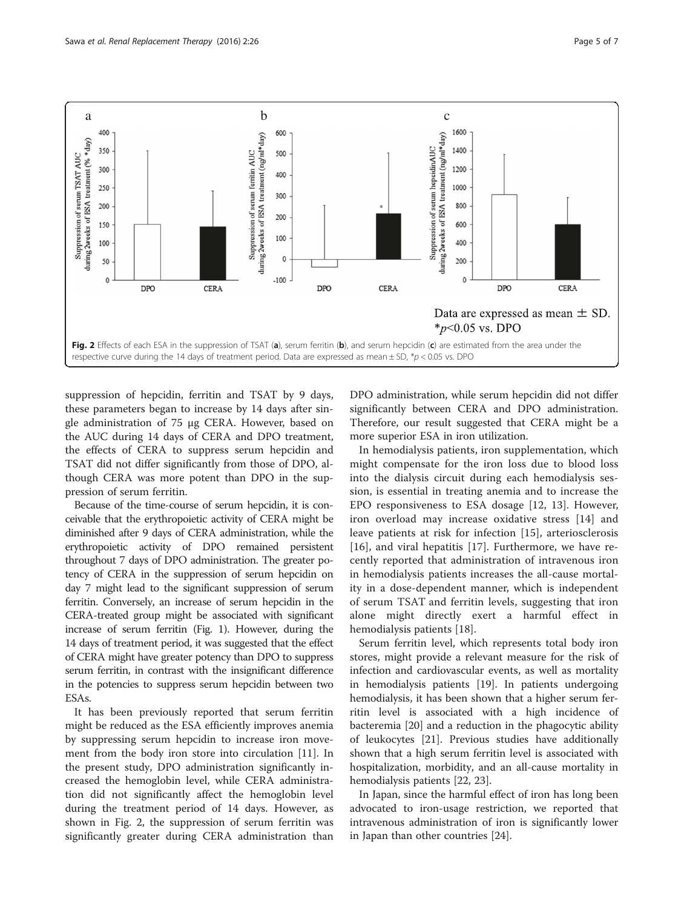<span id="page-4-0"></span>

suppression of hepcidin, ferritin and TSAT by 9 days, these parameters began to increase by 14 days after single administration of 75 μg CERA. However, based on the AUC during 14 days of CERA and DPO treatment, the effects of CERA to suppress serum hepcidin and TSAT did not differ significantly from those of DPO, although CERA was more potent than DPO in the suppression of serum ferritin.

Because of the time-course of serum hepcidin, it is conceivable that the erythropoietic activity of CERA might be diminished after 9 days of CERA administration, while the erythropoietic activity of DPO remained persistent throughout 7 days of DPO administration. The greater potency of CERA in the suppression of serum hepcidin on day 7 might lead to the significant suppression of serum ferritin. Conversely, an increase of serum hepcidin in the CERA-treated group might be associated with significant increase of serum ferritin (Fig. [1\)](#page-2-0). However, during the 14 days of treatment period, it was suggested that the effect of CERA might have greater potency than DPO to suppress serum ferritin, in contrast with the insignificant difference in the potencies to suppress serum hepcidin between two ESAs.

It has been previously reported that serum ferritin might be reduced as the ESA efficiently improves anemia by suppressing serum hepcidin to increase iron movement from the body iron store into circulation [[11\]](#page-5-0). In the present study, DPO administration significantly increased the hemoglobin level, while CERA administration did not significantly affect the hemoglobin level during the treatment period of 14 days. However, as shown in Fig. 2, the suppression of serum ferritin was significantly greater during CERA administration than DPO administration, while serum hepcidin did not differ significantly between CERA and DPO administration. Therefore, our result suggested that CERA might be a more superior ESA in iron utilization.

In hemodialysis patients, iron supplementation, which might compensate for the iron loss due to blood loss into the dialysis circuit during each hemodialysis session, is essential in treating anemia and to increase the EPO responsiveness to ESA dosage [[12, 13](#page-5-0)]. However, iron overload may increase oxidative stress [[14\]](#page-5-0) and leave patients at risk for infection [[15\]](#page-5-0), arteriosclerosis [[16](#page-6-0)], and viral hepatitis [[17\]](#page-6-0). Furthermore, we have recently reported that administration of intravenous iron in hemodialysis patients increases the all-cause mortality in a dose-dependent manner, which is independent of serum TSAT and ferritin levels, suggesting that iron alone might directly exert a harmful effect in hemodialysis patients [[18\]](#page-6-0).

Serum ferritin level, which represents total body iron stores, might provide a relevant measure for the risk of infection and cardiovascular events, as well as mortality in hemodialysis patients [\[19\]](#page-6-0). In patients undergoing hemodialysis, it has been shown that a higher serum ferritin level is associated with a high incidence of bacteremia [[20\]](#page-6-0) and a reduction in the phagocytic ability of leukocytes [\[21](#page-6-0)]. Previous studies have additionally shown that a high serum ferritin level is associated with hospitalization, morbidity, and an all-cause mortality in hemodialysis patients [\[22](#page-6-0), [23\]](#page-6-0).

In Japan, since the harmful effect of iron has long been advocated to iron-usage restriction, we reported that intravenous administration of iron is significantly lower in Japan than other countries [[24\]](#page-6-0).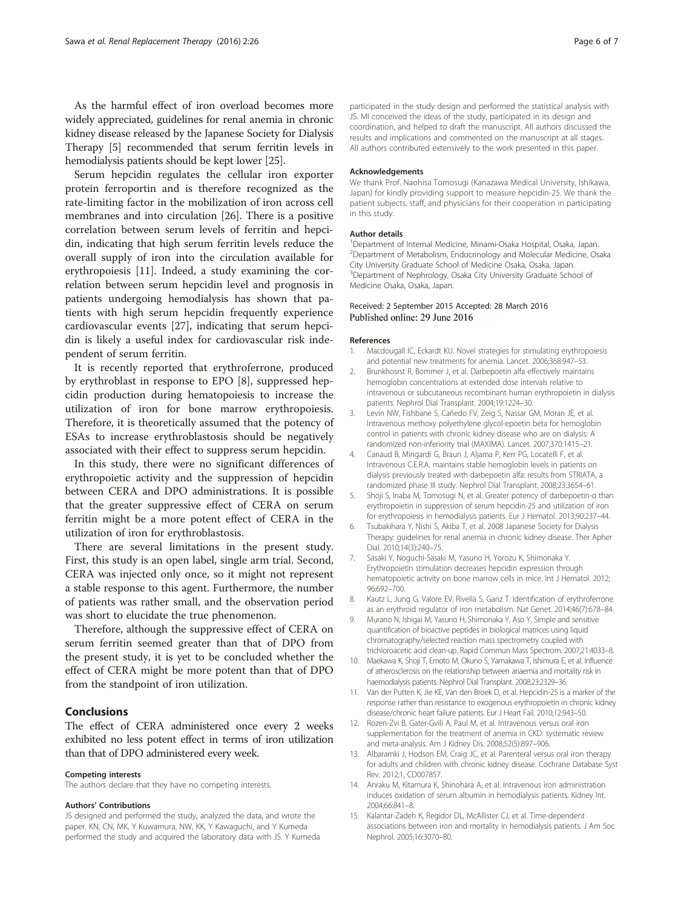<span id="page-5-0"></span>As the harmful effect of iron overload becomes more widely appreciated, guidelines for renal anemia in chronic kidney disease released by the Japanese Society for Dialysis Therapy [5] recommended that serum ferritin levels in hemodialysis patients should be kept lower [[25](#page-6-0)].

Serum hepcidin regulates the cellular iron exporter protein ferroportin and is therefore recognized as the rate-limiting factor in the mobilization of iron across cell membranes and into circulation [[26\]](#page-6-0). There is a positive correlation between serum levels of ferritin and hepcidin, indicating that high serum ferritin levels reduce the overall supply of iron into the circulation available for erythropoiesis [11]. Indeed, a study examining the correlation between serum hepcidin level and prognosis in patients undergoing hemodialysis has shown that patients with high serum hepcidin frequently experience cardiovascular events [\[27\]](#page-6-0), indicating that serum hepcidin is likely a useful index for cardiovascular risk independent of serum ferritin.

It is recently reported that erythroferrone, produced by erythroblast in response to EPO [8], suppressed hepcidin production during hematopoiesis to increase the utilization of iron for bone marrow erythropoiesis. Therefore, it is theoretically assumed that the potency of ESAs to increase erythroblastosis should be negatively associated with their effect to suppress serum hepcidin.

In this study, there were no significant differences of erythropoietic activity and the suppression of hepcidin between CERA and DPO administrations. It is possible that the greater suppressive effect of CERA on serum ferritin might be a more potent effect of CERA in the utilization of iron for erythroblastosis.

There are several limitations in the present study. First, this study is an open label, single arm trial. Second, CERA was injected only once, so it might not represent a stable response to this agent. Furthermore, the number of patients was rather small, and the observation period was short to elucidate the true phenomenon.

Therefore, although the suppressive effect of CERA on serum ferritin seemed greater than that of DPO from the present study, it is yet to be concluded whether the effect of CERA might be more potent than that of DPO from the standpoint of iron utilization.

## Conclusions

The effect of CERA administered once every 2 weeks exhibited no less potent effect in terms of iron utilization than that of DPO administered every week.

#### Competing interests

The authors declare that they have no competing interests.

#### Authors' Contributions

JS designed and performed the study, analyzed the data, and wrote the paper. KN, CN, MK, Y Kuwamura, NW, KK, Y Kawaguchi, and Y Kumeda performed the study and acquired the laboratory data with JS. Y Kumeda participated in the study design and performed the statistical analysis with JS. MI conceived the ideas of the study, participated in its design and coordination, and helped to draft the manuscript. All authors discussed the results and implications and commented on the manuscript at all stages. All authors contributed extensively to the work presented in this paper.

#### Acknowledgements

We thank Prof. Naohisa Tomosugi (Kanazawa Medical University, Ishikawa, Japan) for kindly providing support to measure hepcidin-25. We thank the patient subjects, staff, and physicians for their cooperation in participating in this study.

#### Author details

<sup>1</sup> Department of Internal Medicine, Minami-Osaka Hospital, Osaka, Japan 2 Department of Metabolism, Endocrinology and Molecular Medicine, Osaka City University Graduate School of Medicine Osaka, Osaka, Japan. <sup>3</sup>Department of Nephrology, Osaka City University Graduate School of Medicine Osaka, Osaka, Japan.

#### Received: 2 September 2015 Accepted: 28 March 2016 Published online: 29 June 2016

#### References

- 1. Macdougall IC, Eckardt KU. Novel strategies for stimulating erythropoiesis and potential new treatments for anemia. Lancet. 2006;368:947–53.
- 2. Brunkhosrst R, Bommer J, et al. Darbepoetin alfa effectively maintains hemoglobin concentrations at extended dose intervals relative to intravenous or subcutaneous recombinant human erythropoietin in dialysis patients. Nephrol Dial Transplant. 2004;19:1224–30.
- 3. Levin NW, Fishbane S, Cañedo FV, Zeig S, Nassar GM, Moran JE, et al. Intravenous methoxy polyethylene glycol-epoetin beta for hemoglobin control in patients with chronic kidney disease who are on dialysis: A randomized non-inferiority trial (MAXIMA). Lancet. 2007;370:1415–21.
- 4. Canaud B, Mingardi G, Braun J, Aljama P, Kerr PG, Locatelli F, et al. Intravenous C.E.R.A. maintains stable hemoglobin levels in patients on dialysis previously treated with darbepoetin alfa: results from STRIATA, a randomized phase III study. Nephrol Dial Transplant. 2008;23:3654–61.
- 5. Shoji S, Inaba M, Tomosugi N, et al. Greater potency of darbepoetin-α than erythropoietin in suppression of serum hepcidin-25 and utilization of iron for erythropoiesis in hemodialysis patients. Eur J Hematol. 2013;90:237–44.
- 6. Tsubakihara Y, Nishi S, Akiba T, et al. 2008 Japanese Society for Dialysis Therapy: guidelines for renal anemia in chronic kidney disease. Ther Apher Dial. 2010;14(3):240–75.
- 7. Sasaki Y, Noguchi-Sasaki M, Yasuno H, Yorozu K, Shimonaka Y. Erythropoietin stimulation decreases hepcidin expression through hematopoietic activity on bone marrow cells in mice. Int J Hematol. 2012; 96:692–700.
- 8. Kautz L, Jung G, Valore EV, Rivella S, Ganz T. Identification of erythroferrone as an erythroid regulator of iron metabolism. Nat Genet. 2014;46(7):678–84.
- 9. Murano N, Ishigai M, Yasuno H, Shimonaka Y, Aso Y. Simple and sensitive quantification of bioactive peptides in biological matrices using liquid chromatography/selected reaction mass spectrometry coupled with trichloroacetic acid clean-up. Rapid Commun Mass Spectrom. 2007;21:4033–8.
- 10. Maekawa K, Shoji T, Emoto M, Okuno S, Yamakawa T, Ishimura E, et al. Influence of atherosclerosis on the relationship between anaemia and mortality risk in haemodialysis patients. Nephrol Dial Transplant. 2008;23:2329–36.
- 11. Van der Putten K, Jie KE, Van den Broek D, et al. Hepcidin-25 is a marker of the response rather than resistance to exogenous erythropoietin in chronic kidney disease/chronic heart failure patients. Eur J Heart Fail. 2010;12:943–50.
- 12. Rozen-Zvi B, Gater-Gvili A, Paul M, et al. Intravenous versus oral iron supplementation for the treatment of anemia in CKD: systematic review and meta-analysis. Am J Kidney Dis. 2008;52(5):897–906.
- 13. Albaramki J, Hodson EM, Craig JC, et al. Parenteral versus oral iron therapy for adults and children with chronic kidney disease. Cochrane Database Syst Rev. 2012;1, CD007857.
- 14. Anraku M, Kitamura K, Shinohara A, et al. Intravenous iron administration induces oxidation of serum albumin in hemodialysis patients. Kidney Int. 2004;66:841–8.
- 15. Kalantar-Zadeh K, Regidor DL, McAllister CJ, et al. Time-dependent associations between iron and mortality in hemodialysis patients. J Am Soc Nephrol. 2005;16:3070–80.